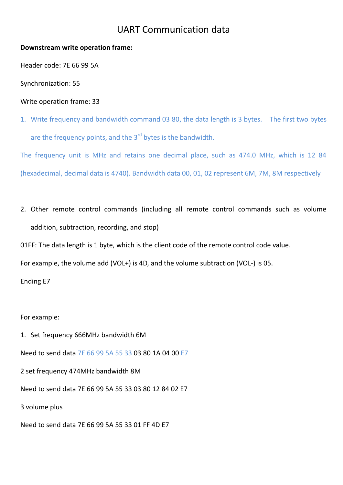## UART Communication data

## **Downstream write operation frame:**

Header code: 7E 66 99 5A

Synchronization: 55

Write operation frame: 33

1. Write frequency and bandwidth command 03 80, the data length is 3 bytes. The first two bytes are the frequency points, and the 3<sup>rd</sup> bytes is the bandwidth.

The frequency unit is MHz and retains one decimal place, such as 474.0 MHz, which is 12 84 (hexadecimal, decimal data is 4740). Bandwidth data 00, 01, 02 represent 6M, 7M, 8M respectively

2. Other remote control commands (including all remote control commands such as volume addition, subtraction, recording, and stop)

01FF: The data length is 1 byte, which is the client code of the remote control code value.

For example, the volume add (VOL+) is 4D, and the volume subtraction (VOL-) is 05.

Ending E7

For example:

1. Set frequency 666MHz bandwidth 6M Need to send data 7E 66 99 5A 55 33 03 80 1A 04 00 E7 2 set frequency 474MHz bandwidth 8M Need to send data 7E 66 99 5A 55 33 03 80 12 84 02 E7 3 volume plus Need to send data 7E 66 99 5A 55 33 01 FF 4D E7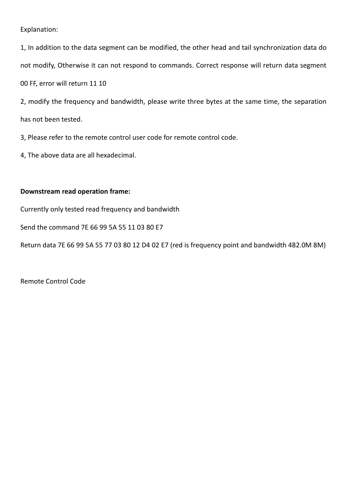## Explanation:

1, In addition to the data segment can be modified, the other head and tail synchronization data do not modify, Otherwise it can not respond to commands. Correct response will return data segment

00 FF, error will return 11 10

2, modify the frequency and bandwidth, please write three bytes at the same time, the separation has not been tested.

3, Please refer to the remote control user code for remote control code.

4, The above data are all hexadecimal.

## **Downstream read operation frame:**

Currently only tested read frequency and bandwidth

Send the command 7E 66 99 5A 55 11 03 80 E7

Return data 7E 66 99 5A 55 77 03 80 12 D4 02 E7 (red is frequency point and bandwidth 482.0M 8M)

Remote Control Code